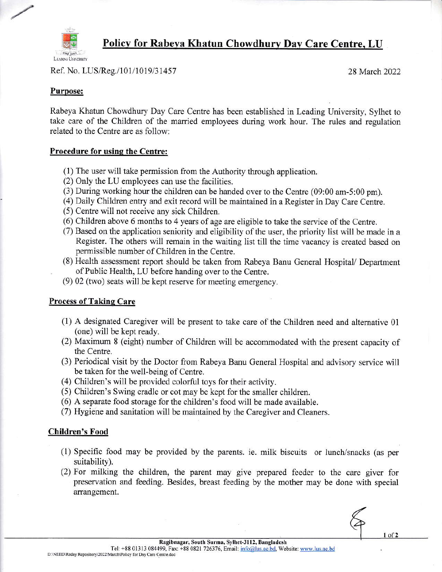

Policv for Rabeya Khatun Chowdhurv Dav Care Centre. LU

Ref. No. LUS/Reg./101/1019/31457 28 March 2022

### Purpose:

Rabeya Khatun Chowdhury Day Care Centre has been established in Leading University, Sylhet to take care of the Children of the married employees during work hour. The rules and regulation related to the Centre are as follow:

### Procedure for using the Centre:

- (1) The user will take permission from the Authority through application.
- $(2)$  Only the LU employees can use the facilities.
- (3) During working hour the children can be handed over to the Centre  $(09:00 \text{ am}-5:00 \text{ pm})$ .
- (4) Daily Children entry and exit record will be maintained in a Register in Day Care Centre.
- (5) Centre will not receive any sick Children.
- (6) Children above 6 months to 4 years of age are eligible to take the service of the Centre.
- $(7)$  Based on the application seniority and eligibility of the user, the priority list will be made in a Register. The others will remain in the waiting list till the time vacancy is created based on permissible number of Children in the Centre.
- (8) Health assessment report should be taken from Rabeya Banu General Hospital/ Department of Public Health, LU before handing over to the Centre.
- $(9)$  02 (two) seats will be kept reserve for meeting emergency.

## Process of Taking Care

- $(1)$  A designated Caregiver will be present to take care of the Children need and alternative 01 (one) will be kept ready.
- (2) Maximum 8 (eight) number of Children will be accommodated with the present capacity of the Centre.
- (3) Periodical visit by the Doctor from Rabeya Banu General Hospital and advisory service will be taken for the well-being of Centre.
- (4) Children's will be provided colorful toys for their activity.
- (5) Children's Swing cradle or cot may be kept for the smaller children.
- $(6)$  A separate food storage for the children's food will be made available.
- (7) Hygiene and sanitation will be maintained by the Caregiver and Cleaners.

#### Children's Food

- (1) Specific food may be provided by the parents. ie. milk biscuits or lunch/snacks (as per suitability).
- $(2)$  For milking the children, the parent may give prepared feeder to the care giver for preservation and feeding. Besides, breast feeding by the mother may be done with special arrangement.